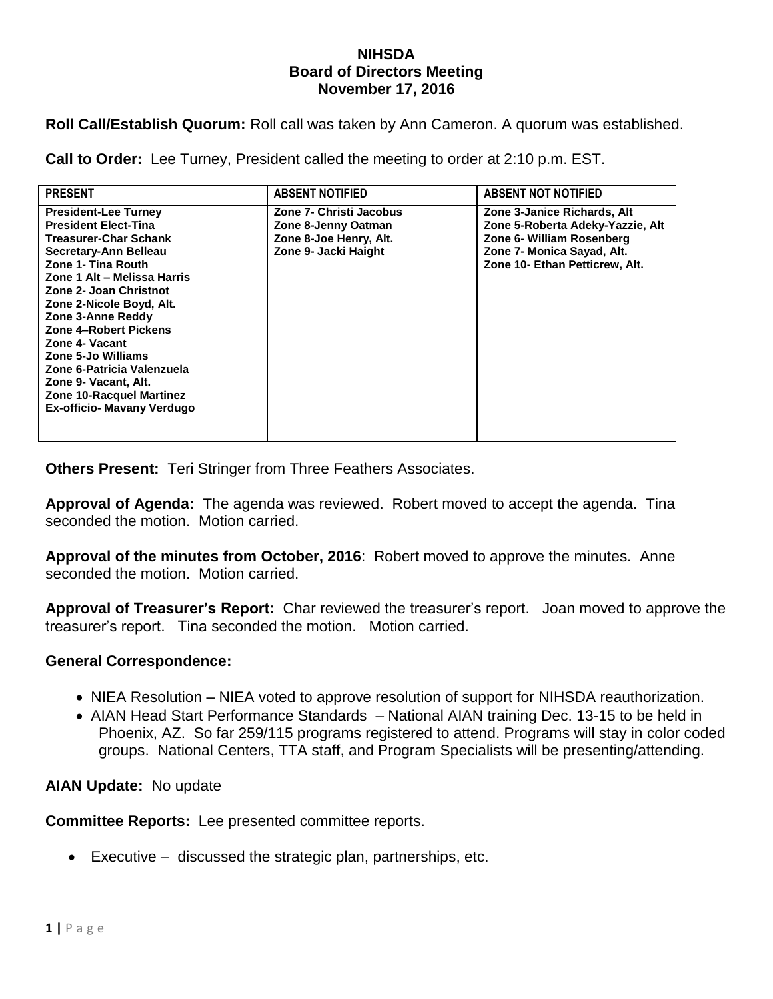## **NIHSDA Board of Directors Meeting November 17, 2016**

**Roll Call/Establish Quorum:** Roll call was taken by Ann Cameron. A quorum was established.

**Call to Order:** Lee Turney, President called the meeting to order at 2:10 p.m. EST.

| <b>PRESENT</b>                                                                                                                                                                                                                                                                                                                                                                                                                                            | <b>ABSENT NOTIFIED</b>                                                                           | <b>ABSENT NOT NOTIFIED</b>                                                                                                                                   |
|-----------------------------------------------------------------------------------------------------------------------------------------------------------------------------------------------------------------------------------------------------------------------------------------------------------------------------------------------------------------------------------------------------------------------------------------------------------|--------------------------------------------------------------------------------------------------|--------------------------------------------------------------------------------------------------------------------------------------------------------------|
| <b>President-Lee Turney</b><br><b>President Elect-Tina</b><br><b>Treasurer-Char Schank</b><br>Secretary-Ann Belleau<br>Zone 1- Tina Routh<br>Zone 1 Alt - Melissa Harris<br>Zone 2- Joan Christnot<br>Zone 2-Nicole Boyd, Alt.<br>Zone 3-Anne Reddy<br><b>Zone 4-Robert Pickens</b><br>Zone 4- Vacant<br>Zone 5-Jo Williams<br>Zone 6-Patricia Valenzuela<br>Zone 9- Vacant, Alt.<br><b>Zone 10-Racquel Martinez</b><br><b>Ex-officio- Mavany Verdugo</b> | Zone 7- Christi Jacobus<br>Zone 8-Jenny Oatman<br>Zone 8-Joe Henry, Alt.<br>Zone 9- Jacki Haight | Zone 3-Janice Richards, Alt<br>Zone 5-Roberta Adeky-Yazzie, Alt<br>Zone 6- William Rosenberg<br>Zone 7- Monica Sayad, Alt.<br>Zone 10- Ethan Petticrew, Alt. |

**Others Present:** Teri Stringer from Three Feathers Associates.

**Approval of Agenda:** The agenda was reviewed. Robert moved to accept the agenda. Tina seconded the motion. Motion carried.

**Approval of the minutes from October, 2016**: Robert moved to approve the minutes. Anne seconded the motion. Motion carried.

**Approval of Treasurer's Report:** Char reviewed the treasurer's report. Joan moved to approve the treasurer's report. Tina seconded the motion. Motion carried.

## **General Correspondence:**

- NIEA Resolution NIEA voted to approve resolution of support for NIHSDA reauthorization.
- AIAN Head Start Performance Standards National AIAN training Dec. 13-15 to be held in Phoenix, AZ. So far 259/115 programs registered to attend. Programs will stay in color coded groups. National Centers, TTA staff, and Program Specialists will be presenting/attending.

## **AIAN Update:** No update

**Committee Reports:** Lee presented committee reports.

Executive – discussed the strategic plan, partnerships, etc.